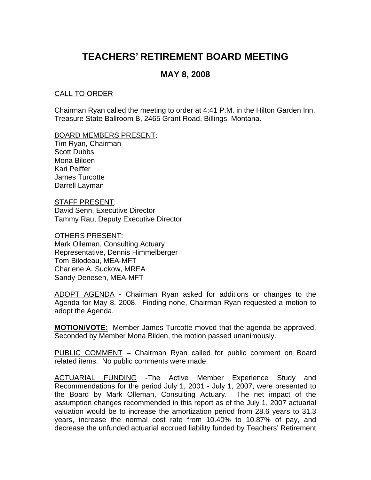# **TEACHERS' RETIREMENT BOARD MEETING**

# **MAY 8, 2008**

## CALL TO ORDER

Chairman Ryan called the meeting to order at 4:41 P.M. in the Hilton Garden Inn, Treasure State Ballroom B, 2465 Grant Road, Billings, Montana.

#### BOARD MEMBERS PRESENT:

Tim Ryan, Chairman Scott Dubbs Mona Bilden Kari Peiffer James Turcotte Darrell Layman

STAFF PRESENT: David Senn, Executive Director Tammy Rau, Deputy Executive Director

#### OTHERS PRESENT:

Mark Olleman, Consulting Actuary Representative, Dennis Himmelberger Tom Bilodeau, MEA-MFT Charlene A. Suckow, MREA Sandy Denesen, MEA-MFT

ADOPT AGENDA - Chairman Ryan asked for additions or changes to the Agenda for May 8, 2008. Finding none, Chairman Ryan requested a motion to adopt the Agenda.

**MOTION/VOTE:** Member James Turcotte moved that the agenda be approved. Seconded by Member Mona Bilden, the motion passed unanimously.

PUBLIC COMMENT – Chairman Ryan called for public comment on Board related items. No public comments were made.

ACTUARIAL FUNDING -The Active Member Experience Study and Recommendations for the period July 1, 2001 - July 1, 2007, were presented to the Board by Mark Olleman, Consulting Actuary. The net impact of the assumption changes recommended in this report as of the July 1, 2007 actuarial valuation would be to increase the amortization period from 28.6 years to 31.3 years, increase the normal cost rate from 10.40% to 10.87% of pay, and decrease the unfunded actuarial accrued liability funded by Teachers' Retirement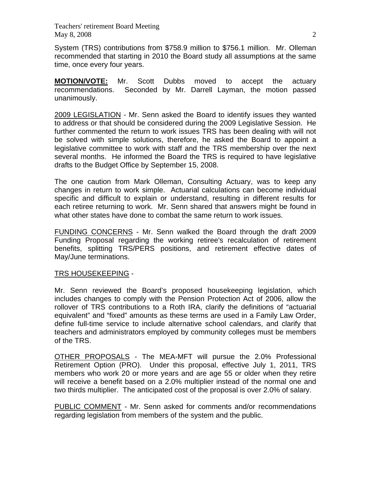Teachers' retirement Board Meeting May 8, 2008 2

System (TRS) contributions from \$758.9 million to \$756.1 million. Mr. Olleman recommended that starting in 2010 the Board study all assumptions at the same time, once every four years.

**MOTION/VOTE:** Mr. Scott Dubbs moved to accept the actuary recommendations. Seconded by Mr. Darrell Layman, the motion passed unanimously.

2009 LEGISLATION - Mr. Senn asked the Board to identify issues they wanted to address or that should be considered during the 2009 Legislative Session. He further commented the return to work issues TRS has been dealing with will not be solved with simple solutions, therefore, he asked the Board to appoint a legislative committee to work with staff and the TRS membership over the next several months. He informed the Board the TRS is required to have legislative drafts to the Budget Office by September 15, 2008.

The one caution from Mark Olleman, Consulting Actuary, was to keep any changes in return to work simple. Actuarial calculations can become individual specific and difficult to explain or understand, resulting in different results for each retiree returning to work. Mr. Senn shared that answers might be found in what other states have done to combat the same return to work issues.

FUNDING CONCERNS - Mr. Senn walked the Board through the draft 2009 Funding Proposal regarding the working retiree's recalculation of retirement benefits, splitting TRS/PERS positions, and retirement effective dates of May/June terminations.

#### TRS HOUSEKEEPING -

Mr. Senn reviewed the Board's proposed housekeeping legislation, which includes changes to comply with the Pension Protection Act of 2006, allow the rollover of TRS contributions to a Roth IRA, clarify the definitions of "actuarial equivalent" and "fixed" amounts as these terms are used in a Family Law Order, define full-time service to include alternative school calendars, and clarify that teachers and administrators employed by community colleges must be members of the TRS.

OTHER PROPOSALS - The MEA-MFT will pursue the 2.0% Professional Retirement Option (PRO). Under this proposal, effective July 1, 2011, TRS members who work 20 or more years and are age 55 or older when they retire will receive a benefit based on a 2.0% multiplier instead of the normal one and two thirds multiplier. The anticipated cost of the proposal is over 2.0% of salary.

PUBLIC COMMENT - Mr. Senn asked for comments and/or recommendations regarding legislation from members of the system and the public.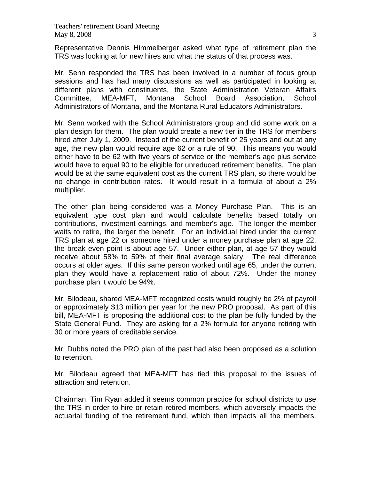Representative Dennis Himmelberger asked what type of retirement plan the TRS was looking at for new hires and what the status of that process was.

Mr. Senn responded the TRS has been involved in a number of focus group sessions and has had many discussions as well as participated in looking at different plans with constituents, the State Administration Veteran Affairs Committee, MEA-MFT, Montana School Board Association, School Administrators of Montana, and the Montana Rural Educators Administrators.

Mr. Senn worked with the School Administrators group and did some work on a plan design for them. The plan would create a new tier in the TRS for members hired after July 1, 2009. Instead of the current benefit of 25 years and out at any age, the new plan would require age 62 or a rule of 90. This means you would either have to be 62 with five years of service or the member's age plus service would have to equal 90 to be eligible for unreduced retirement benefits. The plan would be at the same equivalent cost as the current TRS plan, so there would be no change in contribution rates. It would result in a formula of about a 2% multiplier.

The other plan being considered was a Money Purchase Plan. This is an equivalent type cost plan and would calculate benefits based totally on contributions, investment earnings, and member's age. The longer the member waits to retire, the larger the benefit. For an individual hired under the current TRS plan at age 22 or someone hired under a money purchase plan at age 22, the break even point is about age 57. Under either plan, at age 57 they would receive about 58% to 59% of their final average salary. The real difference occurs at older ages. If this same person worked until age 65, under the current plan they would have a replacement ratio of about 72%. Under the money purchase plan it would be 94%.

Mr. Bilodeau, shared MEA-MFT recognized costs would roughly be 2% of payroll or approximately \$13 million per year for the new PRO proposal. As part of this bill, MEA-MFT is proposing the additional cost to the plan be fully funded by the State General Fund. They are asking for a 2% formula for anyone retiring with 30 or more years of creditable service.

Mr. Dubbs noted the PRO plan of the past had also been proposed as a solution to retention.

Mr. Bilodeau agreed that MEA-MFT has tied this proposal to the issues of attraction and retention.

Chairman, Tim Ryan added it seems common practice for school districts to use the TRS in order to hire or retain retired members, which adversely impacts the actuarial funding of the retirement fund, which then impacts all the members.